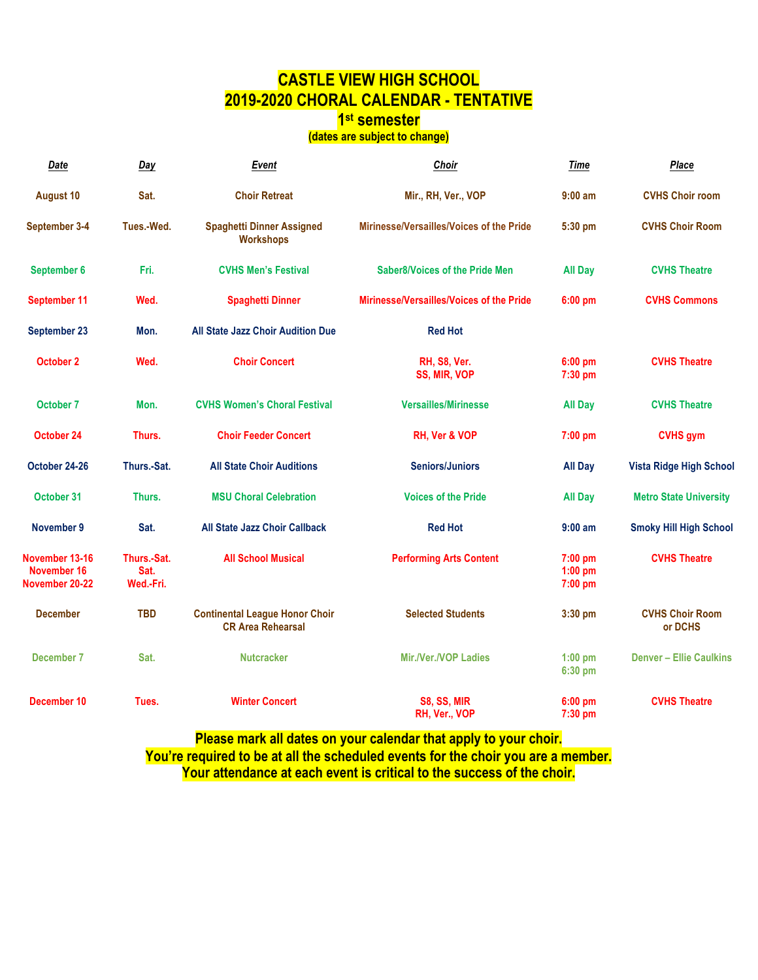## **CASTLE VIEW HIGH SCHOOL 2019-2020 CHORAL CALENDAR - TENTATIVE**

#### **1st semester**

### **(dates are subject to change)**

| Date                                            | Day                              | Event                                                             | Choir                                    | <b>Time</b>                       | <b>Place</b>                      |
|-------------------------------------------------|----------------------------------|-------------------------------------------------------------------|------------------------------------------|-----------------------------------|-----------------------------------|
| <b>August 10</b>                                | Sat.                             | <b>Choir Retreat</b>                                              | Mir., RH, Ver., VOP                      | $9:00$ am                         | <b>CVHS Choir room</b>            |
| September 3-4                                   | Tues.-Wed.                       | <b>Spaghetti Dinner Assigned</b><br><b>Workshops</b>              | Mirinesse/Versailles/Voices of the Pride | 5:30 pm                           | <b>CVHS Choir Room</b>            |
| September 6                                     | Fri.                             | <b>CVHS Men's Festival</b>                                        | <b>Saber8/Voices of the Pride Men</b>    | <b>All Day</b>                    | <b>CVHS Theatre</b>               |
| September 11                                    | Wed.                             | <b>Spaghetti Dinner</b>                                           | Mirinesse/Versailles/Voices of the Pride | $6:00$ pm                         | <b>CVHS Commons</b>               |
| September 23                                    | Mon.                             | All State Jazz Choir Audition Due                                 | <b>Red Hot</b>                           |                                   |                                   |
| October 2                                       | Wed.                             | <b>Choir Concert</b>                                              | <b>RH, S8, Ver.</b><br>SS, MIR, VOP      | 6:00 pm<br>$7:30$ pm              | <b>CVHS Theatre</b>               |
| October 7                                       | Mon.                             | <b>CVHS Women's Choral Festival</b>                               | <b>Versailles/Mirinesse</b>              | <b>All Day</b>                    | <b>CVHS Theatre</b>               |
| October 24                                      | Thurs.                           | <b>Choir Feeder Concert</b>                                       | RH, Ver & VOP                            | $7:00$ pm                         | <b>CVHS</b> gym                   |
| October 24-26                                   | Thurs.-Sat.                      | <b>All State Choir Auditions</b>                                  | <b>Seniors/Juniors</b>                   | <b>All Day</b>                    | <b>Vista Ridge High School</b>    |
| October 31                                      | Thurs.                           | <b>MSU Choral Celebration</b>                                     | <b>Voices of the Pride</b>               | <b>All Day</b>                    | <b>Metro State University</b>     |
| November 9                                      | Sat.                             | <b>All State Jazz Choir Callback</b>                              | <b>Red Hot</b>                           | $9:00$ am                         | <b>Smoky Hill High School</b>     |
| November 13-16<br>November 16<br>November 20-22 | Thurs.-Sat.<br>Sat.<br>Wed.-Fri. | <b>All School Musical</b>                                         | <b>Performing Arts Content</b>           | $7:00$ pm<br>$1:00$ pm<br>7:00 pm | <b>CVHS Theatre</b>               |
| <b>December</b>                                 | <b>TBD</b>                       | <b>Continental League Honor Choir</b><br><b>CR Area Rehearsal</b> | <b>Selected Students</b>                 | 3:30 pm                           | <b>CVHS Choir Room</b><br>or DCHS |
| December 7                                      | Sat.                             | <b>Nutcracker</b>                                                 | <b>Mir./Ver./VOP Ladies</b>              | $1:00$ pm<br>6:30 pm              | <b>Denver - Ellie Caulkins</b>    |
| December 10                                     | Tues.                            | <b>Winter Concert</b>                                             | <b>S8, SS, MIR</b><br>RH, Ver., VOP      | 6:00 pm<br>$7:30$ pm              | <b>CVHS Theatre</b>               |

**Please mark all dates on your calendar that apply to your choir. You're required to be at all the scheduled events for the choir you are a member. Your attendance at each event is critical to the success of the choir.**